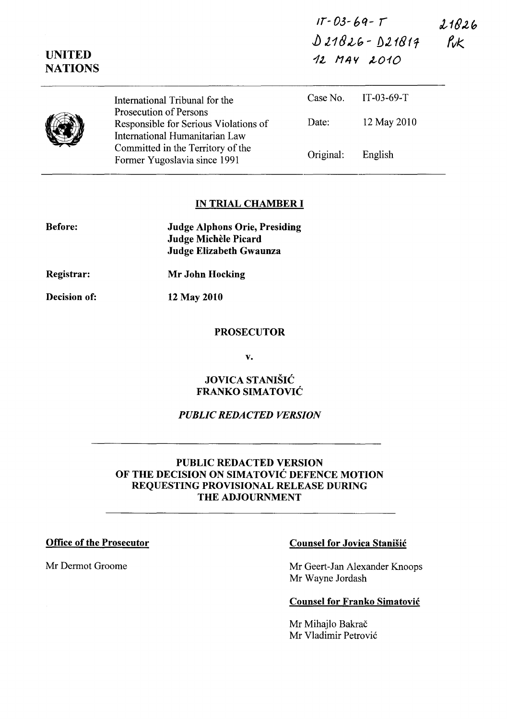| $1T - 03 - 69 - T$ | 21826      |
|--------------------|------------|
| $021826 - 021814$  | <b>Puk</b> |
| 12 MAY 2010        |            |

|  | International Tribunal for the                                                                           |           | Case No. $IT-03-69-T$ |  |
|--|----------------------------------------------------------------------------------------------------------|-----------|-----------------------|--|
|  | <b>Prosecution of Persons</b><br>Responsible for Serious Violations of<br>International Humanitarian Law | Date:     | 12 May 2010           |  |
|  | Committed in the Territory of the<br>Former Yugoslavia since 1991                                        | Original: | English               |  |

#### IN TRIAL CHAMBER I

| <b>Before:</b> | <b>Judge Alphons Orie, Presiding</b><br>Judge Michèle Picard<br>Judge Elizabeth Gwaunza |  |
|----------------|-----------------------------------------------------------------------------------------|--|
| Registrar:     | <b>Mr John Hocking</b>                                                                  |  |

Decision of: 12 May 2010

UNITED **NATIONS** 

#### **PROSECUTOR**

v.

## JOVICA STANISIC FRANKO SIMATOVIC

#### *PUBLIC REDACTED VERSION*

### PUBLIC REDACTED VERSION OF THE DECISION ON SIMATOVIC DEFENCE MOTION REQUESTING PROVISIONAL RELEASE DURING THE ADJOURNMENT

## Office of the Prosecutor Counsel for Jovica Stanisic

Mr Dermot Groome Mr Geert-Jan Alexander Knoops Mr Wayne lordash

#### Counsel for Franko Simatovic

Mr Mihajlo Bakrač Mr Vladimir Petrović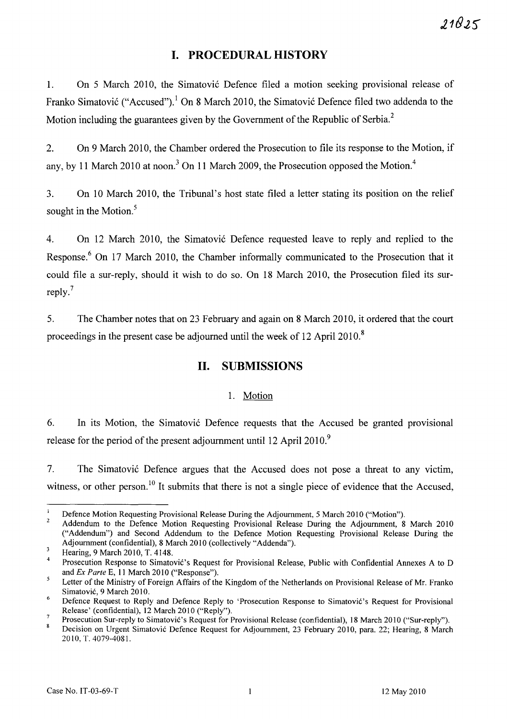# **I. PROCEDURAL HISTORY**

1. On 5 March 2010, the Simatović Defence filed a motion seeking provisional release of Franko Simatović ("Accused").<sup>1</sup> On 8 March 2010, the Simatović Defence filed two addenda to the Motion including the guarantees given by the Government of the Republic of Serbia.<sup>2</sup>

2. On 9 March 2010, the Chamber ordered the Prosecution to file its response to the Motion, if any, by 11 March 2010 at noon.<sup>3</sup> On 11 March 2009, the Prosecution opposed the Motion.<sup>4</sup>

3. On 10 March 2010, the Tribunal's host state filed a letter stating its position on the relief sought in the Motion.<sup>5</sup>

4. On 12 March 2010, the Simatović Defence requested leave to reply and replied to the Response.<sup>6</sup> On 17 March 2010, the Chamber informally communicated to the Prosecution that it could file a sur-reply, should it wish to do so. On 18 March 2010, the Prosecution filed its surreply.<sup>7</sup>

5. The Chamber notes that on 23 February and again on 8 March 2010, it ordered that the court proceedings in the present case be adjourned until the week of 12 April 2010. <sup>8</sup>

# **11. SUBMISSIONS**

## 1. Motion

6. In its Motion, the Simatović Defence requests that the Accused be granted provisional release for the period of the present adjournment until 12 April 2010.<sup>9</sup>

7. The Simatović Defence argues that the Accused does not pose a threat to any victim, witness, or other person.<sup>10</sup> It submits that there is not a single piece of evidence that the Accused,

 $\mathbf{1}$ Defence Motion Requesting Provisional Release During the Adjournment, 5 March 2010 ("Motion").

<sup>2</sup>  Addendum to the Defence Motion Requesting Provisional Release During the Adjournment, 8 March 2010 ("Addendum") and Second Addendum to the Defence Motion Requesting Provisional Release During the Adjournment (confidential), 8 March 2010 (collectively "Addenda").  $\overline{3}$ 

Hearing, 9 March 2010, T. 4148.

<sup>4</sup>  Prosecution Response to Simatovic's Request for Provisional Release, Public with Confidential Annexes A to D and *Ex Parte* E, 11 March 2010 ("Response").

 $\overline{\mathbf{5}}$ Letter of the Ministry of Foreign Affairs of the Kingdom of the Netherlands on Provisional Release of Mr. Franko Simatovic, 9 March 2010.

<sup>6</sup>  Defence Request to Reply and Defence Reply to 'Prosecution Response to Simatovic's Request for Provisional Release' (confidential), 12 March 2010 ("Reply").

<sup>7</sup>  Prosecution Sur-reply to Simatovic's Request for Provisional Release (confidential), 18 March 2010 ("Sur-reply").

 $\bf{8}$ Decision on Urgent Simatovic Defence Request for Adjournment, 23 February 2010, para. 22; Hearing, 8 March 2010, T. 4079-4081.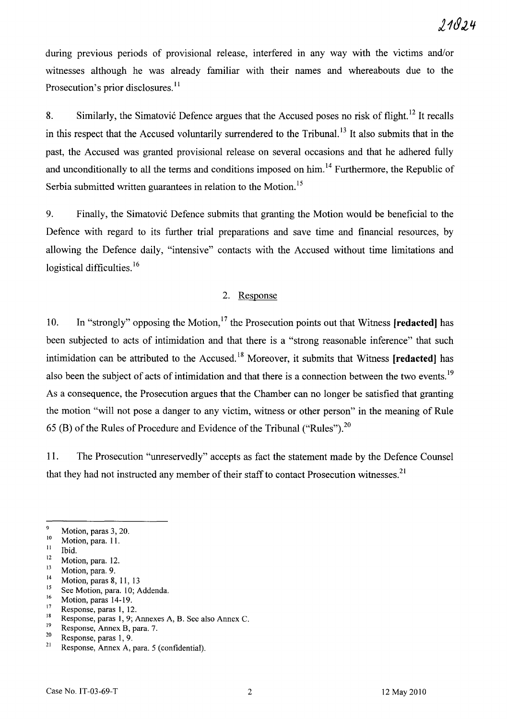during previous periods of provisional release, interfered in any way with the victims and/or witnesses although he was already familiar with their names and whereabouts due to the Prosecution's prior disclosures.<sup>11</sup>

8. Similarly, the Simatović Defence argues that the Accused poses no risk of flight.<sup>12</sup> It recalls in this respect that the Accused voluntarily surrendered to the Tribunal. 13 It also submits that in the past, the Accused was granted provisional release on several occasions and that he adhered fully and unconditionally to all the terms and conditions imposed on him.<sup>14</sup> Furthermore, the Republic of Serbia submitted written guarantees in relation to the Motion.<sup>15</sup>

9. Finally, the Simatović Defence submits that granting the Motion would be beneficial to the Defence with regard to its further trial preparations and save time and financial resources, by allowing the Defence daily, "intensive" contacts with the Accused without time limitations and logistical difficulties.<sup>16</sup>

### 2. Response

10. In "strongly" opposing the Motion,<sup>17</sup> the Prosecution points out that Witness **[redacted]** has been subjected to acts of intimidation and that there is a "strong reasonable inference" that such intimidation can be attributed to the Accused. 18 Moreover, it submits that Witness **[redacted)** has also been the subject of acts of intimidation and that there is a connection between the two events.<sup>19</sup> As a consequence, the Prosecution argues that the Chamber can no longer be satisfied that granting the motion "will not pose a danger to any victim, witness or other person" in the meaning of Rule 65 (B) of the Rules of Procedure and Evidence of the Tribunal ("Rules").<sup>20</sup>

11. The Prosecution "unreservedly" accepts as fact the statement made by the Defence Counsel that they had not instructed any member of their staff to contact Prosecution witnesses.<sup>21</sup>

 $\frac{9}{10}$  Motion, paras 3, 20.

 $\frac{10}{11}$  Motion, para. 11.

 $\frac{11}{12}$  Ibid.

 $12$  Motion, para. 12.

 $\frac{13}{14}$  Motion, para. 9.

<sup>&</sup>lt;sup>14</sup> Motion, paras 8, 11, 13

 $^{15}$  See Motion, para. 10; Addenda.

 $\frac{16}{17}$  Motion, paras 14-19.

 $\frac{17}{18}$  Response, paras 1, 12.

<sup>&</sup>lt;sup>18</sup> Response, paras 1, 9; Annexes A, B. See also Annex C.<br><sup>19</sup> Besponse, Annex B, para 7.

 $19$  Response, Annex B, para. 7.<br> $20$  Benness, name 1. 0.

<sup>&</sup>lt;sup>20</sup> Response, paras 1, 9.<br><sup>21</sup> Response, Annex A, para. 5 (confidential).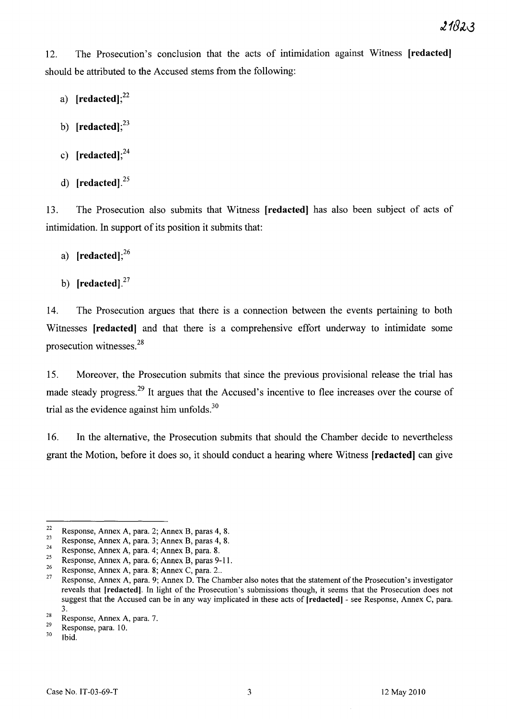12. The Prosecution's conclusion that the acts of intimidation against Witness [redactedJ should be attributed to the Accused stems from the following:

- a)  $[redacted]$ ;<sup>22</sup>
- b)  $[related]$ ;<sup>23</sup>
- c)  $[redacted]$ ;<sup>24</sup>
- d) [redacted]. $^{25}$

13. The Prosecution also submits that Witness [redacted] has also been subject of acts of intimidation. In support of its position it submits that:

- a)  $[related];^{26}$
- b)  $[redacted]$ .<sup>27</sup>

14. The Prosecution argues that there is a connection between the events pertaining to both Witnesses [redacted] and that there is a comprehensive effort underway to intimidate some prosecution witnesses. <sup>28</sup>

15. Moreover, the Prosecution submits that since the previous provisional release the trial has made steady progress.<sup>29</sup> It argues that the Accused's incentive to flee increases over the course of trial as the evidence against him unfolds. $30$ 

16. In the alternative, the Prosecution submits that should the Chamber decide to nevertheless grant the Motion, before it does so, it should conduct a hearing where Witness [redacted] can give

<sup>&</sup>lt;sup>22</sup> Response, Annex A, para. 2; Annex B, paras 4, 8.

Examples Annex A, para. 3; Annex B, paras 4, 8.<br>
Paras A, para. 4; Annex B, para. 8.<br>
Response, Annex A, para. 6; Annex B, paras 9-11.<br>
Response, Annex A, para. 8; Annex C, para. 2..<br>
Paras P. 11.<br>
Response, Annex A, para reveals that [redacted). In light of the Prosecution's submissions though, it seems that the Prosecution does not suggest that the Accused can be in any way implicated in these acts of [redacted) - see Response, Annex C, para. 3.

 $\frac{28}{29}$  Response, Annex A, para. 7.

 $\frac{29}{30}$  Response, para. 10.

Ibid.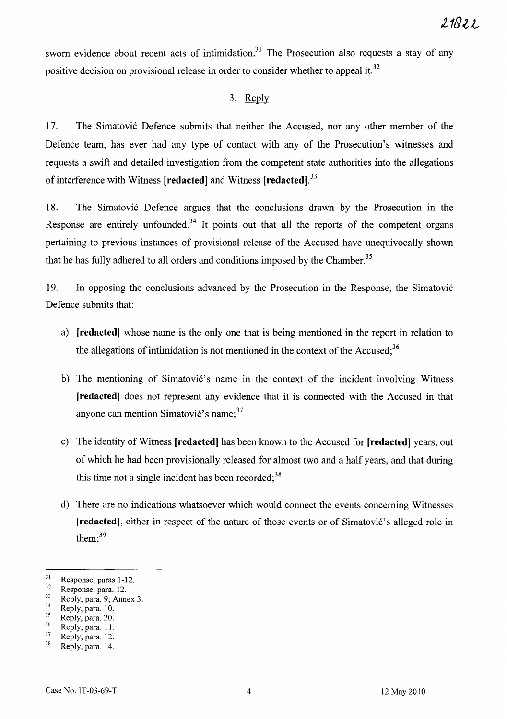sworn evidence about recent acts of intimidation.<sup>31</sup> The Prosecution also requests a stay of any positive decision on provisional release in order to consider whether to appeal it.<sup>32</sup>

## 3. Reply

17. The Simatović Defence submits that neither the Accused, nor any other member of the Defence team, has ever had any type of contact with any of the Prosecution's witnesses and requests a swift and detailed investigation from the competent state authorities into the allegations of interference with Witness [red acted] and Witness **[redacted].** <sup>33</sup>

18. The Simatovic Defence argues that the conclusions drawn by the Prosecution in the Response are entirely unfounded.<sup>34</sup> It points out that all the reports of the competent organs pertaining to previous instances of provisional release of the Accused have unequivocally shown that he has fully adhered to all orders and conditions imposed by the Chamber.<sup>35</sup>

19. In opposing the conclusions advanced by the Prosecution in the Response, the Simatovi6 Defence submits that:

- a) **[redacted]** whose name is the only one that is being mentioned in the report in relation to the allegations of intimidation is not mentioned in the context of the Accused; $36$
- b) The mentioning of Simatović's name in the context of the incident involving Witness **[redacted]** does not represent any evidence that it is connected with the Accused in that anyone can mention Simatović's name;  $37$
- c) The identity of Witness **[redacted]** has been known to the Accused for **[redacted]** years, out of which he had been provisionally released for almost two and a half years, and that during this time not a single incident has been recorded;  $38$
- d) There are no indications whatsoever which would connect the events concerning Witnesses [redacted], either in respect of the nature of those events or of Simatović's alleged role in them; $39$

 $rac{31}{32}$  Response, paras 1-12.

 $\frac{32}{33}$  Response, para. 12.

 $\frac{33}{34}$  Reply, para. 9; Annex 3.

 $rac{34}{35}$  Reply, para. 10.

 $rac{35}{36}$  Reply, para. 20.

 $rac{36}{37}$  Reply, para. 11.

 $rac{37}{38}$  Reply, para. 12.

Reply, para. 14.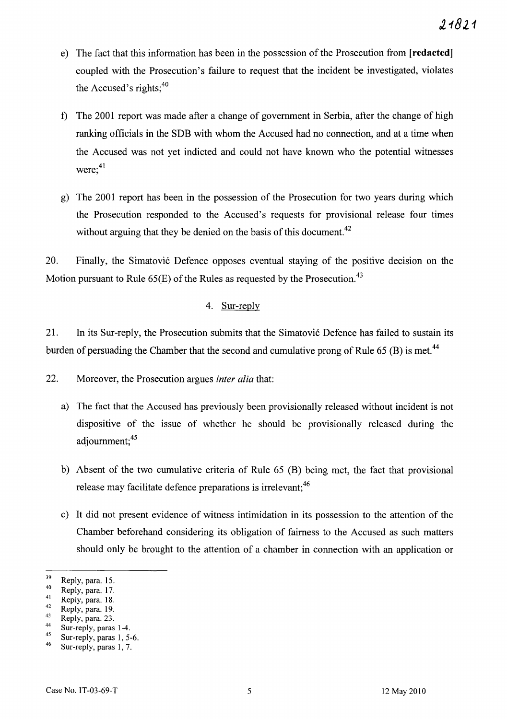- e) The fact that this information has been in the possession of the Prosecution from **[redacted]**  coupled with the Prosecution's failure to request that the incident be investigated, violates the Accused's rights;<sup>40</sup>
- f) The 2001 report was made after a change of government in Serbia, after the change of high ranking officials in the SDB with whom the Accused had no connection, and at a time when the Accused was not yet indicted and could not have known who the potential witnesses  $were;^{41}$
- g) The 2001 report has been in the possession of the Prosecution for two years during which the Prosecution responded to the Accused's requests for provisional release four times without arguing that they be denied on the basis of this document.<sup>42</sup>

20. Finally, the Simatovi6 Defence opposes eventual staying of the positive decision on the Motion pursuant to Rule  $65(E)$  of the Rules as requested by the Prosecution.<sup>43</sup>

# 4. Sur-reply

21. In its Sur-reply, the Prosecution submits that the Simatović Defence has failed to sustain its burden of persuading the Chamber that the second and cumulative prong of Rule  $65$  (B) is met.<sup>44</sup>

22. Moreover, the Prosecution argues *inter alia* that:

- a) The fact that the Accused has previously been provisionally released without incident is not dispositive of the issue of whether he should be provisionally released during the adjournment:<sup>45</sup>
- b) Absent of the two cumulative criteria of Rule 65 (B) being met, the fact that provisional release may facilitate defence preparations is irrelevant; <sup>46</sup>
- c) It did not present evidence of witness intimidation in its possession to the attention of the Chamber beforehand considering its obligation of fairness to the Accused as such matters should only be brought to the attention of a chamber in connection with an application or

 $\frac{44}{45}$  Sur-reply, paras 1-4.

 $\frac{39}{40}$  Reply, para. 15.

 $^{40}$  Reply, para. 17.

 $^{41}$  Reply, para. 18.

 $^{42}$  Reply, para. 19.

 $^{43}$  Reply, para. 23.

 $\frac{45}{46}$  Sur-reply, paras 1, 5-6. Sur-reply, paras 1, 7.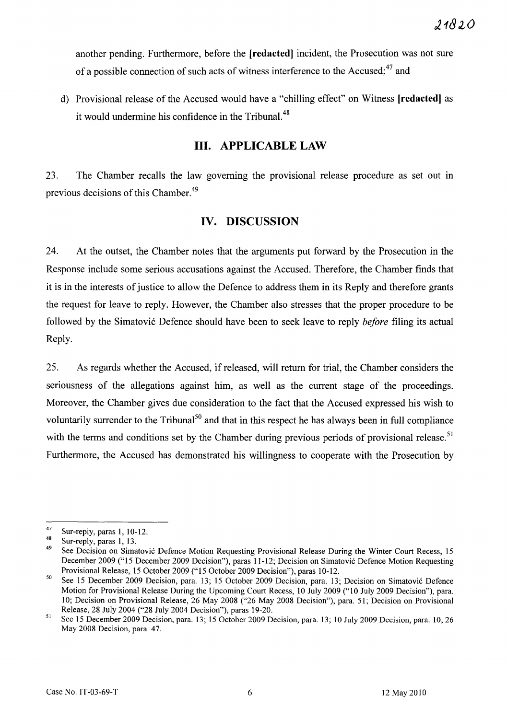another pending. Furthermore, before the **[redactedJ** incident, the Prosecution was not sure of a possible connection of such acts of witness interference to the Accused; 47 and

d) Provisional release of the Accused would have a "chilling effect" on Witness **[redactedJ** as it would undermine his confidence in the Tribunal.<sup>48</sup>

# **Ill. APPLICABLE LAW**

23. The Chamber recalls the law governing the provisional release procedure as set out in previous decisions of this Chamber.<sup>49</sup>

## **IV. DISCUSSION**

24. At the outset, the Chamber notes that the arguments put forward by the Prosecution in the Response include some serious accusations against the Accused. Therefore, the Chamber finds that it is in the interests of justice to allow the Defence to address them in its Reply and therefore grants the request for leave to reply. However, the Chamber also stresses that the proper procedure to be followed by the Simatovi6 Defence should have been to seek leave to reply *before* filing its actual Reply.

25. As regards whether the Accused, if released, will return for trial, the Chamber considers the seriousness of the allegations against him, as well as the current stage of the proceedings. Moreover, the Chamber gives due consideration to the fact that the Accused expressed his wish to voluntarily surrender to the Tribunal<sup>50</sup> and that in this respect he has always been in full compliance with the terms and conditions set by the Chamber during previous periods of provisional release.<sup>51</sup> Furthermore, the Accused has demonstrated his willingness to cooperate with the Prosecution by

<sup>&</sup>lt;sup>47</sup> Sur-reply, paras 1, 10-12.

 $^{48}$  Sur-reply, paras 1, 13.

See Decision on Simatović Defence Motion Requesting Provisional Release During the Winter Court Recess, 15 December 2009 ("15 December 2009 Decision"), paras 11-12; Decision on Simatovic Defence Motion Requesting Provisional Release, 15 October 2009 ("15 October 2009 Decision"), paras 10-12.

<sup>50</sup> See 15 December 2009 Decision, para. 13; 15 October 2009 Decision, para. 13; Decision on Simatovic Defence Motion for Provisional Release During the Upcoming Court Recess, 10 July 2009 ("10 July 2009 Decision"), para. 10; Decision on Provisional Release, 26 May 2008 ("26 May 2008 Decision"), para. 51; Decision on Provisional Release, 28 July 2004 ("28 July 2004 Decision"), paras 19-20.

<sup>51</sup> See 15 December 2009 Decision, para. 13; 15 October 2009 Decision, para. 13; 10 July 2009 Decision, para. 10; 26 May 2008 Decision, para. 47.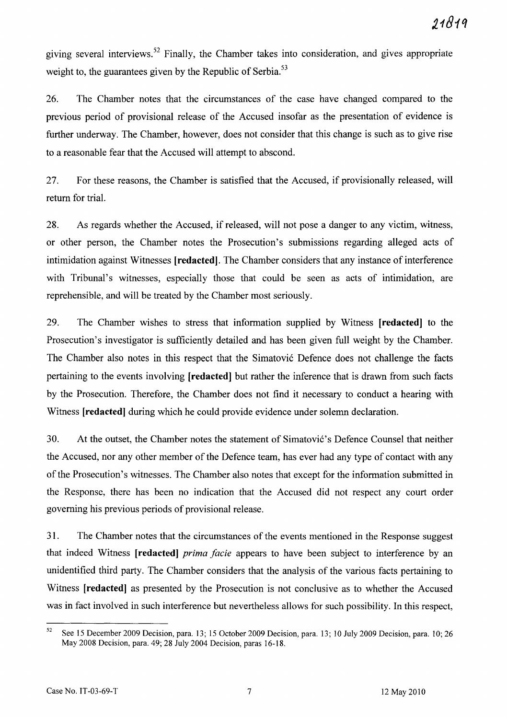giving several interviews. 52 Finally, the Chamber takes into consideration, and gives appropriate weight to, the guarantees given by the Republic of Serbia.<sup>53</sup>

26. The Chamber notes that the circumstances of the case have changed compared to the previous period of provisional release of the Accused insofar as the presentation of evidence is further underway. The Chamber, however, does not consider that this change is such as to give rise to a reasonable fear that the Accused will attempt to abscond.

27. For these reasons, the Chamber is satisfied that the Accused, if provisionally released, will return for trial.

28. As regards whether the Accused, if released, will not pose a danger to any victim, witness, or other person, the Chamber notes the Prosecution's submissions regarding alleged acts of intimidation against Witnesses **[redacted].** The Chamber considers that any instance of interference with Tribunal's witnesses, especially those that could be seen as acts of intimidation, are reprehensible, and will be treated by the Chamber most seriously.

29. The Chamber wishes to stress that information supplied by Witness **[redacted]** to the Prosecution's investigator is sufficiently detailed and has been given full weight by the Chamber. The Chamber also notes in this respect that the Simatović Defence does not challenge the facts pertaining to the events involving [red acted] but rather the inference that is drawn from such facts by the Prosecution. Therefore, the Chamber does not find it necessary to conduct a hearing with Witness **[redacted]** during which he could provide evidence under solemn declaration.

30. At the outset, the Chamber notes the statement of Simatović's Defence Counsel that neither the Accused, nor any other member of the Defence team, has ever had any type of contact with any of the Prosecution's witnesses. The Chamber also notes that except for the information submitted in the Response, there has been no indication that the Accused did not respect any court order governing his previous periods of provisional release.

31. The Chamber notes that the circumstances of the events mentioned in the Response suggest that indeed Witness **[redacted]** *prima facie* appears to have been subject to interference by an unidentified third party. The Chamber considers that the analysis of the various facts pertaining to Witness **[redacted]** as presented by the Prosecution is not conclusive as to whether the Accused was in fact involved in such interference but nevertheless allows for such possibility. In this respect,

<sup>52</sup> See 15 December 2009 Decision, para. 13; 15 October 2009 Decision, para. 13; lO July 2009 Decision, para. lO; 26 May 2008 Decision, para. 49; 28 July 2004 Decision, paras 16-18.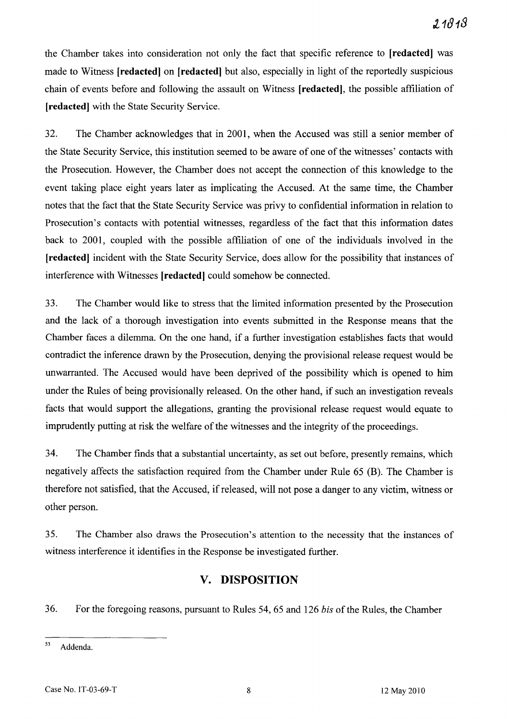the Chamber takes into consideration not only the fact that specific reference to **[redacted]** was made to Witness **[redacted] on [redacted]** but also, especially in light of the reportedly suspicious chain of events before and following the assault on Witness **[redacted],** the possible affiliation of **[redacted]** with the State Security Service.

32. The Chamber acknowledges that in 2001, when the Accused was still a senior member of the State Security Service, this institution seemed to be aware of one of the witnesses' contacts with the Prosecution. However, the Chamber does not accept the connection of this knowledge to the event taking place eight years later as implicating the Accused. At the same time, the Chamber notes that the fact that the State Security Service was privy to confidential information in relation to Prosecution's contacts with potential witnesses, regardless of the fact that this information dates back to 2001, coupled with the possible affiliation of one of the individuals involved in the **[redacted]** incident with the State Security Service, does allow for the possibility that instances of interference with Witnesses [redacted] could somehow be connected.

33. The Chamber would like to stress that the limited information presented by the Prosecution and the lack of a thorough investigation into events submitted in the Response means that the Chamber faces a dilemma. On the one hand, if a further investigation establishes facts that would contradict the inference drawn by the Prosecution, denying the provisional release request would be unwarranted. The Accused would have been deprived of the possibility which is opened to him under the Rules of being provisionally released. On the other hand, if such an investigation reveals facts that would support the allegations, granting the provisional release request would equate to imprudently putting at risk the welfare of the witnesses and the integrity of the proceedings.

34. The Chamber finds that a substantial uncertainty, as set out before, presently remains, which negatively affects the satisfaction required from the Chamber under Rule 65 (B). The Chamber is therefore not satisfied, that the Accused, if released, will not pose a danger to any victim, witness or other person.

35. The Chamber also draws the Prosecution's attention to the necessity that the instances of witness interference it identifies in the Response be investigated further.

# **v. DISPOSITION**

36. For the foregoing reasons, pursuant to Rules 54, 65 and 126 *bis* of the Rules, the Chamber

<sup>53</sup> Addenda.